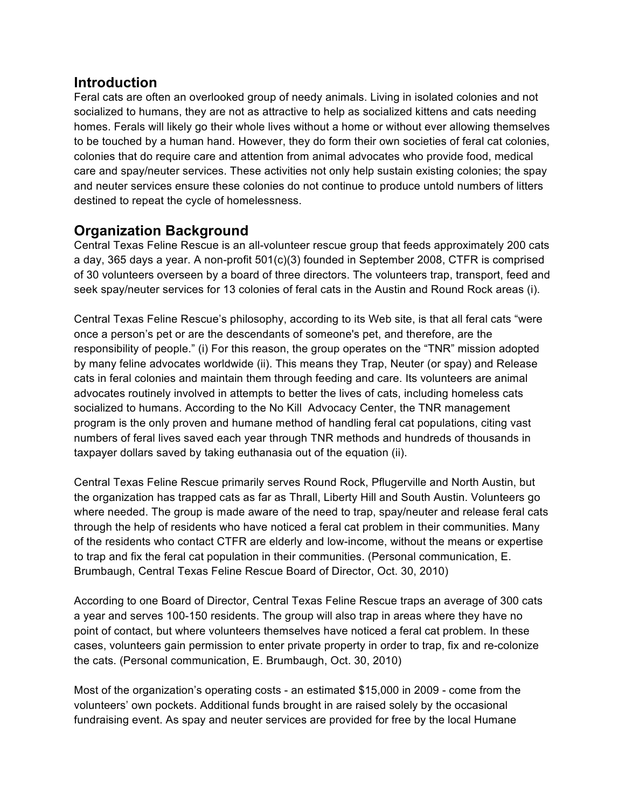#### **Introduction**

Feral cats are often an overlooked group of needy animals. Living in isolated colonies and not socialized to humans, they are not as attractive to help as socialized kittens and cats needing homes. Ferals will likely go their whole lives without a home or without ever allowing themselves to be touched by a human hand. However, they do form their own societies of feral cat colonies, colonies that do require care and attention from animal advocates who provide food, medical care and spay/neuter services. These activities not only help sustain existing colonies; the spay and neuter services ensure these colonies do not continue to produce untold numbers of litters destined to repeat the cycle of homelessness.

# **Organization Background**

Central Texas Feline Rescue is an all-volunteer rescue group that feeds approximately 200 cats a day, 365 days a year. A non-profit 501(c)(3) founded in September 2008, CTFR is comprised of 30 volunteers overseen by a board of three directors. The volunteers trap, transport, feed and seek spay/neuter services for 13 colonies of feral cats in the Austin and Round Rock areas (i).

Central Texas Feline Rescue's philosophy, according to its Web site, is that all feral cats "were once a person's pet or are the descendants of someone's pet, and therefore, are the responsibility of people." (i) For this reason, the group operates on the "TNR" mission adopted by many feline advocates worldwide (ii). This means they Trap, Neuter (or spay) and Release cats in feral colonies and maintain them through feeding and care. Its volunteers are animal advocates routinely involved in attempts to better the lives of cats, including homeless cats socialized to humans. According to the No Kill Advocacy Center, the TNR management program is the only proven and humane method of handling feral cat populations, citing vast numbers of feral lives saved each year through TNR methods and hundreds of thousands in taxpayer dollars saved by taking euthanasia out of the equation (ii).

Central Texas Feline Rescue primarily serves Round Rock, Pflugerville and North Austin, but the organization has trapped cats as far as Thrall, Liberty Hill and South Austin. Volunteers go where needed. The group is made aware of the need to trap, spay/neuter and release feral cats through the help of residents who have noticed a feral cat problem in their communities. Many of the residents who contact CTFR are elderly and low-income, without the means or expertise to trap and fix the feral cat population in their communities. (Personal communication, E. Brumbaugh, Central Texas Feline Rescue Board of Director, Oct. 30, 2010)

According to one Board of Director, Central Texas Feline Rescue traps an average of 300 cats a year and serves 100-150 residents. The group will also trap in areas where they have no point of contact, but where volunteers themselves have noticed a feral cat problem. In these cases, volunteers gain permission to enter private property in order to trap, fix and re-colonize the cats. (Personal communication, E. Brumbaugh, Oct. 30, 2010)

Most of the organization's operating costs - an estimated \$15,000 in 2009 - come from the volunteers' own pockets. Additional funds brought in are raised solely by the occasional fundraising event. As spay and neuter services are provided for free by the local Humane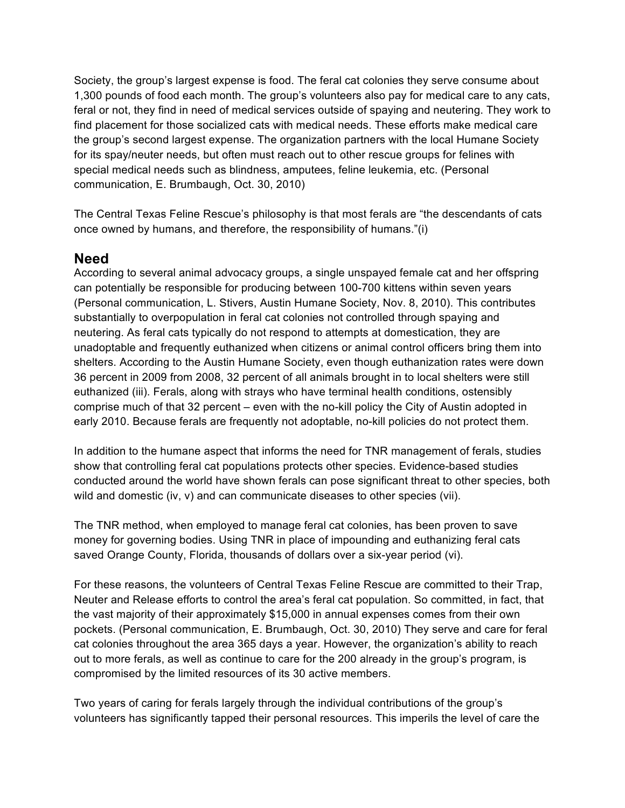Society, the group's largest expense is food. The feral cat colonies they serve consume about 1,300 pounds of food each month. The group's volunteers also pay for medical care to any cats, feral or not, they find in need of medical services outside of spaying and neutering. They work to find placement for those socialized cats with medical needs. These efforts make medical care the group's second largest expense. The organization partners with the local Humane Society for its spay/neuter needs, but often must reach out to other rescue groups for felines with special medical needs such as blindness, amputees, feline leukemia, etc. (Personal communication, E. Brumbaugh, Oct. 30, 2010)

The Central Texas Feline Rescue's philosophy is that most ferals are "the descendants of cats once owned by humans, and therefore, the responsibility of humans."(i)

#### **Need**

According to several animal advocacy groups, a single unspayed female cat and her offspring can potentially be responsible for producing between 100-700 kittens within seven years (Personal communication, L. Stivers, Austin Humane Society, Nov. 8, 2010). This contributes substantially to overpopulation in feral cat colonies not controlled through spaying and neutering. As feral cats typically do not respond to attempts at domestication, they are unadoptable and frequently euthanized when citizens or animal control officers bring them into shelters. According to the Austin Humane Society, even though euthanization rates were down 36 percent in 2009 from 2008, 32 percent of all animals brought in to local shelters were still euthanized (iii). Ferals, along with strays who have terminal health conditions, ostensibly comprise much of that 32 percent – even with the no-kill policy the City of Austin adopted in early 2010. Because ferals are frequently not adoptable, no-kill policies do not protect them.

In addition to the humane aspect that informs the need for TNR management of ferals, studies show that controlling feral cat populations protects other species. Evidence-based studies conducted around the world have shown ferals can pose significant threat to other species, both wild and domestic (iv, v) and can communicate diseases to other species (vii).

The TNR method, when employed to manage feral cat colonies, has been proven to save money for governing bodies. Using TNR in place of impounding and euthanizing feral cats saved Orange County, Florida, thousands of dollars over a six-year period (vi).

For these reasons, the volunteers of Central Texas Feline Rescue are committed to their Trap, Neuter and Release efforts to control the area's feral cat population. So committed, in fact, that the vast majority of their approximately \$15,000 in annual expenses comes from their own pockets. (Personal communication, E. Brumbaugh, Oct. 30, 2010) They serve and care for feral cat colonies throughout the area 365 days a year. However, the organization's ability to reach out to more ferals, as well as continue to care for the 200 already in the group's program, is compromised by the limited resources of its 30 active members.

Two years of caring for ferals largely through the individual contributions of the group's volunteers has significantly tapped their personal resources. This imperils the level of care the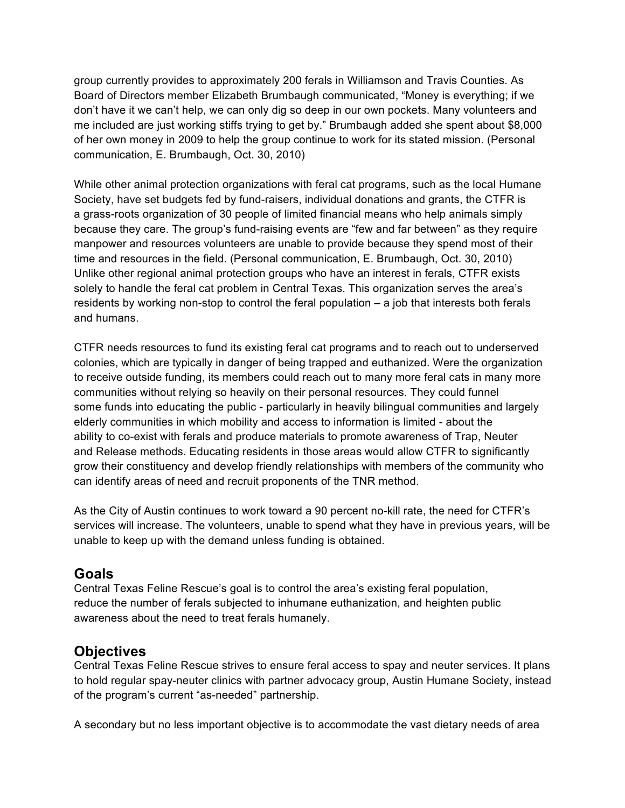group currently provides to approximately 200 ferals in Williamson and Travis Counties. As Board of Directors member Elizabeth Brumbaugh communicated, "Money is everything; if we don't have it we can't help, we can only dig so deep in our own pockets. Many volunteers and me included are just working stiffs trying to get by." Brumbaugh added she spent about \$8,000 of her own money in 2009 to help the group continue to work for its stated mission. (Personal communication, E. Brumbaugh, Oct. 30, 2010)

While other animal protection organizations with feral cat programs, such as the local Humane Society, have set budgets fed by fund-raisers, individual donations and grants, the CTFR is a grass-roots organization of 30 people of limited financial means who help animals simply because they care. The group's fund-raising events are "few and far between" as they require manpower and resources volunteers are unable to provide because they spend most of their time and resources in the field. (Personal communication, E. Brumbaugh, Oct. 30, 2010) Unlike other regional animal protection groups who have an interest in ferals, CTFR exists solely to handle the feral cat problem in Central Texas. This organization serves the area's residents by working non-stop to control the feral population – a job that interests both ferals and humans.

CTFR needs resources to fund its existing feral cat programs and to reach out to underserved colonies, which are typically in danger of being trapped and euthanized. Were the organization to receive outside funding, its members could reach out to many more feral cats in many more communities without relying so heavily on their personal resources. They could funnel some funds into educating the public - particularly in heavily bilingual communities and largely elderly communities in which mobility and access to information is limited - about the ability to co-exist with ferals and produce materials to promote awareness of Trap, Neuter and Release methods. Educating residents in those areas would allow CTFR to significantly grow their constituency and develop friendly relationships with members of the community who can identify areas of need and recruit proponents of the TNR method.

As the City of Austin continues to work toward a 90 percent no-kill rate, the need for CTFR's services will increase. The volunteers, unable to spend what they have in previous years, will be unable to keep up with the demand unless funding is obtained.

#### **Goals**

Central Texas Feline Rescue's goal is to control the area's existing feral population, reduce the number of ferals subjected to inhumane euthanization, and heighten public awareness about the need to treat ferals humanely.

## **Objectives**

Central Texas Feline Rescue strives to ensure feral access to spay and neuter services. It plans to hold regular spay-neuter clinics with partner advocacy group, Austin Humane Society, instead of the program's current "as-needed" partnership.

A secondary but no less important objective is to accommodate the vast dietary needs of area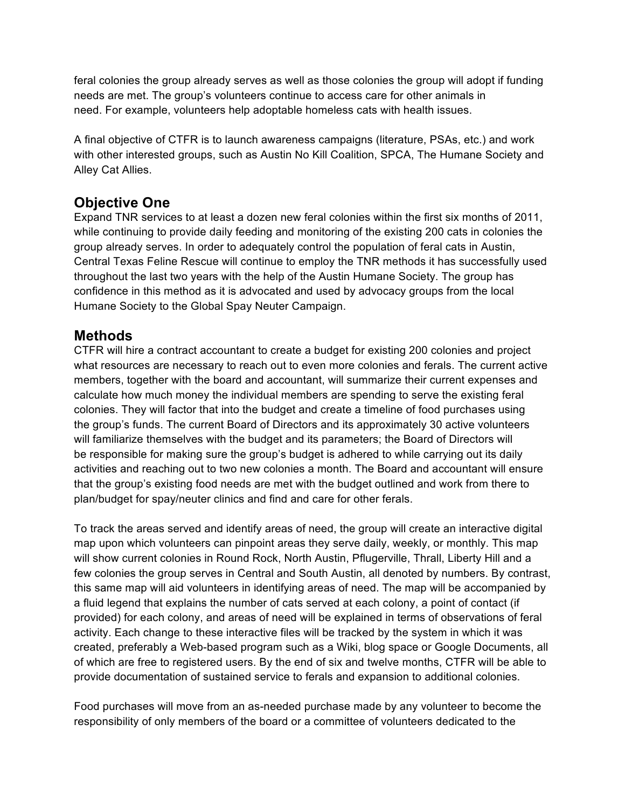feral colonies the group already serves as well as those colonies the group will adopt if funding needs are met. The group's volunteers continue to access care for other animals in need. For example, volunteers help adoptable homeless cats with health issues.

A final objective of CTFR is to launch awareness campaigns (literature, PSAs, etc.) and work with other interested groups, such as Austin No Kill Coalition, SPCA, The Humane Society and Alley Cat Allies.

## **Objective One**

Expand TNR services to at least a dozen new feral colonies within the first six months of 2011, while continuing to provide daily feeding and monitoring of the existing 200 cats in colonies the group already serves. In order to adequately control the population of feral cats in Austin, Central Texas Feline Rescue will continue to employ the TNR methods it has successfully used throughout the last two years with the help of the Austin Humane Society. The group has confidence in this method as it is advocated and used by advocacy groups from the local Humane Society to the Global Spay Neuter Campaign.

## **Methods**

CTFR will hire a contract accountant to create a budget for existing 200 colonies and project what resources are necessary to reach out to even more colonies and ferals. The current active members, together with the board and accountant, will summarize their current expenses and calculate how much money the individual members are spending to serve the existing feral colonies. They will factor that into the budget and create a timeline of food purchases using the group's funds. The current Board of Directors and its approximately 30 active volunteers will familiarize themselves with the budget and its parameters; the Board of Directors will be responsible for making sure the group's budget is adhered to while carrying out its daily activities and reaching out to two new colonies a month. The Board and accountant will ensure that the group's existing food needs are met with the budget outlined and work from there to plan/budget for spay/neuter clinics and find and care for other ferals.

To track the areas served and identify areas of need, the group will create an interactive digital map upon which volunteers can pinpoint areas they serve daily, weekly, or monthly. This map will show current colonies in Round Rock, North Austin, Pflugerville, Thrall, Liberty Hill and a few colonies the group serves in Central and South Austin, all denoted by numbers. By contrast, this same map will aid volunteers in identifying areas of need. The map will be accompanied by a fluid legend that explains the number of cats served at each colony, a point of contact (if provided) for each colony, and areas of need will be explained in terms of observations of feral activity. Each change to these interactive files will be tracked by the system in which it was created, preferably a Web-based program such as a Wiki, blog space or Google Documents, all of which are free to registered users. By the end of six and twelve months, CTFR will be able to provide documentation of sustained service to ferals and expansion to additional colonies.

Food purchases will move from an as-needed purchase made by any volunteer to become the responsibility of only members of the board or a committee of volunteers dedicated to the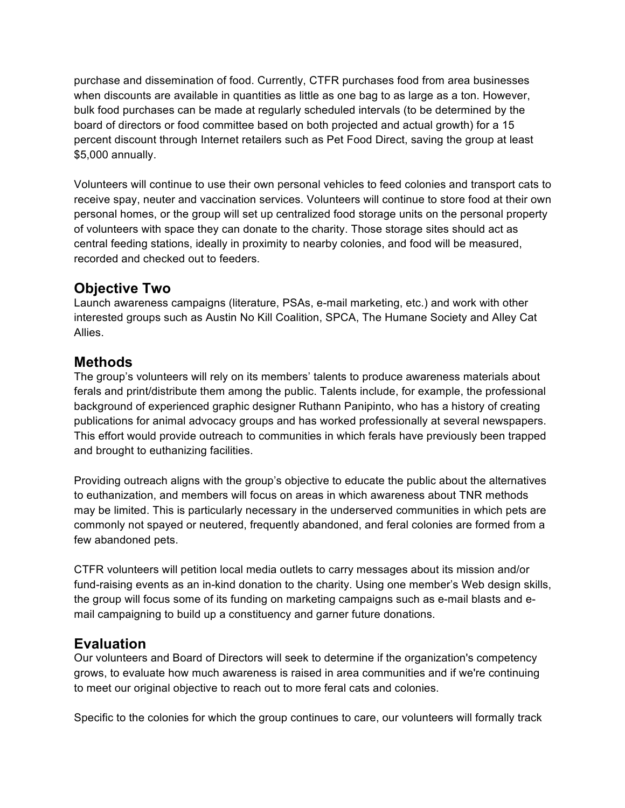purchase and dissemination of food. Currently, CTFR purchases food from area businesses when discounts are available in quantities as little as one bag to as large as a ton. However, bulk food purchases can be made at regularly scheduled intervals (to be determined by the board of directors or food committee based on both projected and actual growth) for a 15 percent discount through Internet retailers such as Pet Food Direct, saving the group at least \$5,000 annually.

Volunteers will continue to use their own personal vehicles to feed colonies and transport cats to receive spay, neuter and vaccination services. Volunteers will continue to store food at their own personal homes, or the group will set up centralized food storage units on the personal property of volunteers with space they can donate to the charity. Those storage sites should act as central feeding stations, ideally in proximity to nearby colonies, and food will be measured, recorded and checked out to feeders.

# **Objective Two**

Launch awareness campaigns (literature, PSAs, e-mail marketing, etc.) and work with other interested groups such as Austin No Kill Coalition, SPCA, The Humane Society and Alley Cat Allies.

## **Methods**

The group's volunteers will rely on its members' talents to produce awareness materials about ferals and print/distribute them among the public. Talents include, for example, the professional background of experienced graphic designer Ruthann Panipinto, who has a history of creating publications for animal advocacy groups and has worked professionally at several newspapers. This effort would provide outreach to communities in which ferals have previously been trapped and brought to euthanizing facilities.

Providing outreach aligns with the group's objective to educate the public about the alternatives to euthanization, and members will focus on areas in which awareness about TNR methods may be limited. This is particularly necessary in the underserved communities in which pets are commonly not spayed or neutered, frequently abandoned, and feral colonies are formed from a few abandoned pets.

CTFR volunteers will petition local media outlets to carry messages about its mission and/or fund-raising events as an in-kind donation to the charity. Using one member's Web design skills, the group will focus some of its funding on marketing campaigns such as e-mail blasts and email campaigning to build up a constituency and garner future donations.

# **Evaluation**

Our volunteers and Board of Directors will seek to determine if the organization's competency grows, to evaluate how much awareness is raised in area communities and if we're continuing to meet our original objective to reach out to more feral cats and colonies.

Specific to the colonies for which the group continues to care, our volunteers will formally track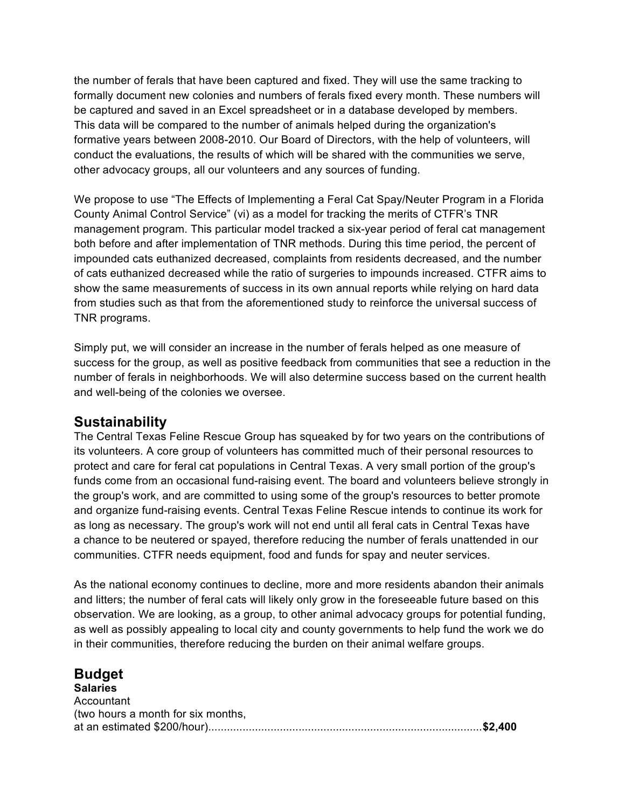the number of ferals that have been captured and fixed. They will use the same tracking to formally document new colonies and numbers of ferals fixed every month. These numbers will be captured and saved in an Excel spreadsheet or in a database developed by members. This data will be compared to the number of animals helped during the organization's formative years between 2008-2010. Our Board of Directors, with the help of volunteers, will conduct the evaluations, the results of which will be shared with the communities we serve, other advocacy groups, all our volunteers and any sources of funding.

We propose to use "The Effects of Implementing a Feral Cat Spay/Neuter Program in a Florida County Animal Control Service" (vi) as a model for tracking the merits of CTFR's TNR management program. This particular model tracked a six-year period of feral cat management both before and after implementation of TNR methods. During this time period, the percent of impounded cats euthanized decreased, complaints from residents decreased, and the number of cats euthanized decreased while the ratio of surgeries to impounds increased. CTFR aims to show the same measurements of success in its own annual reports while relying on hard data from studies such as that from the aforementioned study to reinforce the universal success of TNR programs.

Simply put, we will consider an increase in the number of ferals helped as one measure of success for the group, as well as positive feedback from communities that see a reduction in the number of ferals in neighborhoods. We will also determine success based on the current health and well-being of the colonies we oversee.

#### **Sustainability**

The Central Texas Feline Rescue Group has squeaked by for two years on the contributions of its volunteers. A core group of volunteers has committed much of their personal resources to protect and care for feral cat populations in Central Texas. A very small portion of the group's funds come from an occasional fund-raising event. The board and volunteers believe strongly in the group's work, and are committed to using some of the group's resources to better promote and organize fund-raising events. Central Texas Feline Rescue intends to continue its work for as long as necessary. The group's work will not end until all feral cats in Central Texas have a chance to be neutered or spayed, therefore reducing the number of ferals unattended in our communities. CTFR needs equipment, food and funds for spay and neuter services.

As the national economy continues to decline, more and more residents abandon their animals and litters; the number of feral cats will likely only grow in the foreseeable future based on this observation. We are looking, as a group, to other animal advocacy groups for potential funding, as well as possibly appealing to local city and county governments to help fund the work we do in their communities, therefore reducing the burden on their animal welfare groups.

#### **Budget Salaries Accountant** (two hours a month for six months, at an estimated \$200/hour)........................................................................................**\$2,400**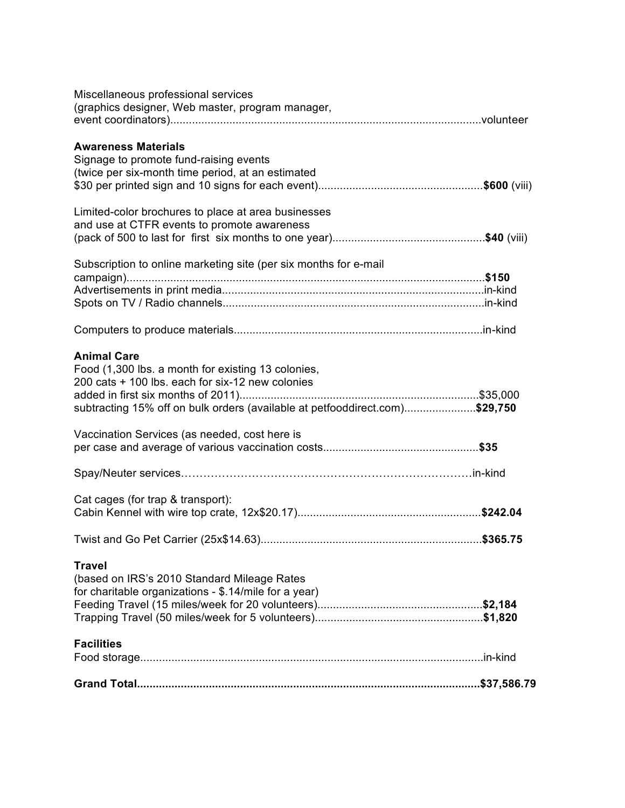| Miscellaneous professional services                                         |  |
|-----------------------------------------------------------------------------|--|
| (graphics designer, Web master, program manager,                            |  |
|                                                                             |  |
| <b>Awareness Materials</b>                                                  |  |
| Signage to promote fund-raising events                                      |  |
| (twice per six-month time period, at an estimated                           |  |
|                                                                             |  |
|                                                                             |  |
| Limited-color brochures to place at area businesses                         |  |
| and use at CTFR events to promote awareness                                 |  |
|                                                                             |  |
| Subscription to online marketing site (per six months for e-mail            |  |
|                                                                             |  |
|                                                                             |  |
|                                                                             |  |
|                                                                             |  |
|                                                                             |  |
| <b>Animal Care</b>                                                          |  |
| Food (1,300 lbs. a month for existing 13 colonies,                          |  |
| 200 cats + 100 lbs, each for six-12 new colonies                            |  |
|                                                                             |  |
| subtracting 15% off on bulk orders (available at petfooddirect.com)\$29,750 |  |
|                                                                             |  |
| Vaccination Services (as needed, cost here is                               |  |
|                                                                             |  |
|                                                                             |  |
|                                                                             |  |
| Cat cages (for trap & transport):                                           |  |
|                                                                             |  |
|                                                                             |  |
| <b>Travel</b>                                                               |  |
| (based on IRS's 2010 Standard Mileage Rates                                 |  |
| for charitable organizations - \$.14/mile for a year)                       |  |
|                                                                             |  |
|                                                                             |  |
|                                                                             |  |
| <b>Facilities</b>                                                           |  |
|                                                                             |  |
|                                                                             |  |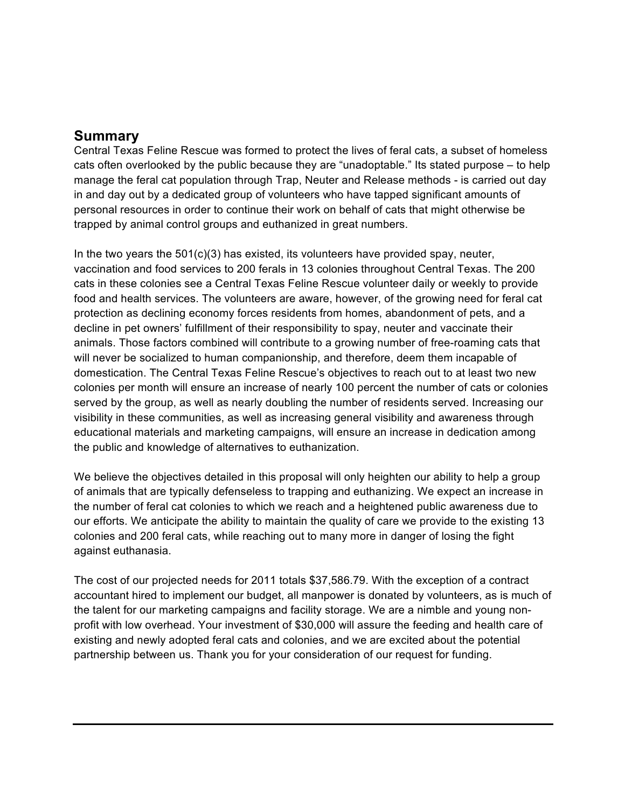#### **Summary**

Central Texas Feline Rescue was formed to protect the lives of feral cats, a subset of homeless cats often overlooked by the public because they are "unadoptable." Its stated purpose – to help manage the feral cat population through Trap, Neuter and Release methods - is carried out day in and day out by a dedicated group of volunteers who have tapped significant amounts of personal resources in order to continue their work on behalf of cats that might otherwise be trapped by animal control groups and euthanized in great numbers.

In the two years the  $501(c)(3)$  has existed, its volunteers have provided spay, neuter, vaccination and food services to 200 ferals in 13 colonies throughout Central Texas. The 200 cats in these colonies see a Central Texas Feline Rescue volunteer daily or weekly to provide food and health services. The volunteers are aware, however, of the growing need for feral cat protection as declining economy forces residents from homes, abandonment of pets, and a decline in pet owners' fulfillment of their responsibility to spay, neuter and vaccinate their animals. Those factors combined will contribute to a growing number of free-roaming cats that will never be socialized to human companionship, and therefore, deem them incapable of domestication. The Central Texas Feline Rescue's objectives to reach out to at least two new colonies per month will ensure an increase of nearly 100 percent the number of cats or colonies served by the group, as well as nearly doubling the number of residents served. Increasing our visibility in these communities, as well as increasing general visibility and awareness through educational materials and marketing campaigns, will ensure an increase in dedication among the public and knowledge of alternatives to euthanization.

We believe the objectives detailed in this proposal will only heighten our ability to help a group of animals that are typically defenseless to trapping and euthanizing. We expect an increase in the number of feral cat colonies to which we reach and a heightened public awareness due to our efforts. We anticipate the ability to maintain the quality of care we provide to the existing 13 colonies and 200 feral cats, while reaching out to many more in danger of losing the fight against euthanasia.

The cost of our projected needs for 2011 totals \$37,586.79. With the exception of a contract accountant hired to implement our budget, all manpower is donated by volunteers, as is much of the talent for our marketing campaigns and facility storage. We are a nimble and young nonprofit with low overhead. Your investment of \$30,000 will assure the feeding and health care of existing and newly adopted feral cats and colonies, and we are excited about the potential partnership between us. Thank you for your consideration of our request for funding.